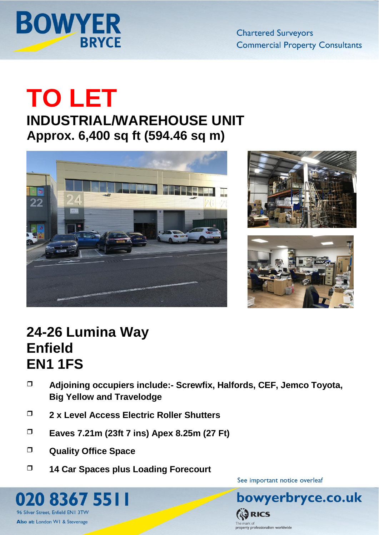

**Chartered Surveyors Commercial Property Consultants** 

# **TO LET**

### **INDUSTRIAL/WAREHOUSE UNIT Approx. 6,400 sq ft (594.46 sq m)**







## **24-26 Lumina Way Enfield EN1 1FS**

- **Adjoining occupiers include:- Screwfix, Halfords, CEF, Jemco Toyota, Big Yellow and Travelodge**
- **2 x Level Access Electric Roller Shutters**
- **Eaves 7.21m (23ft 7 ins) Apex 8.25m (27 Ft)**
- **Quality Office Space**

8367 5511

96 Silver Street, Enfield EN1 3TW

Also at: London W1 & Stevenage

**14 Car Spaces plus Loading Forecourt** 

See important notice overleaf